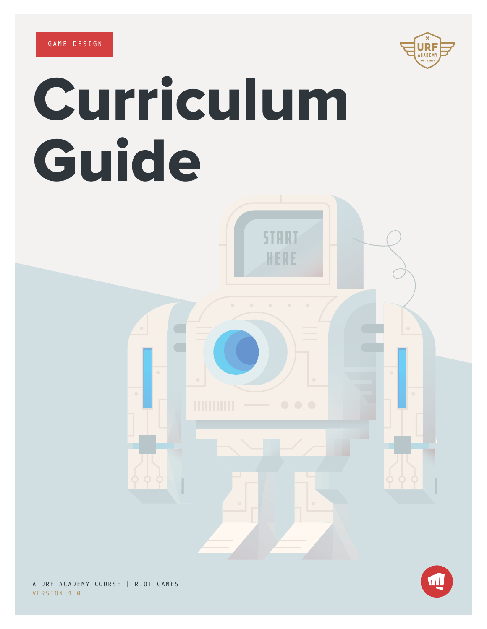

# Curriculum Guide



A URF ACADEMY COURSE | RIOT GAMES VERSION 1.0

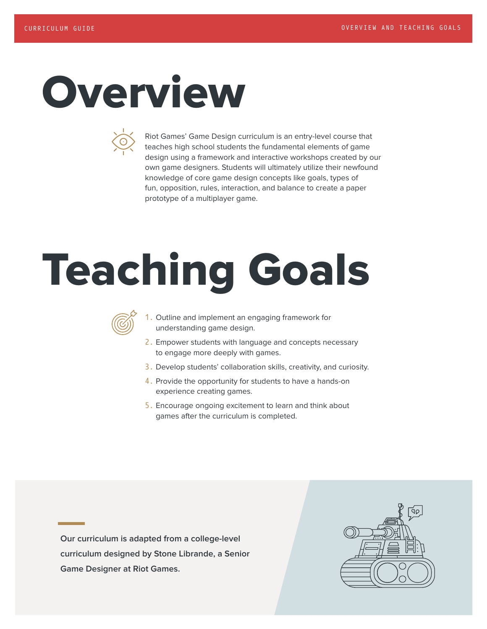### Overview



Riot Games' Game Design curriculum is an entry-level course that teaches high school students the fundamental elements of game design using a framework and interactive workshops created by our own game designers. Students will ultimately utilize their newfound knowledge of core game design concepts like goals, types of fun, opposition, rules, interaction, and balance to create a paper prototype of a multiplayer game.

### Teaching Goals



- 1. Outline and implement an engaging framework for understanding game design.
- 2. Empower students with language and concepts necessary to engage more deeply with games.
- 3. Develop students' collaboration skills, creativity, and curiosity.
- 4. Provide the opportunity for students to have a hands-on experience creating games.
- 5. Encourage ongoing excitement to learn and think about games after the curriculum is completed.

**Our curriculum is adapted from a college-level curriculum designed by Stone Librande, a Senior Game Designer at Riot Games.**

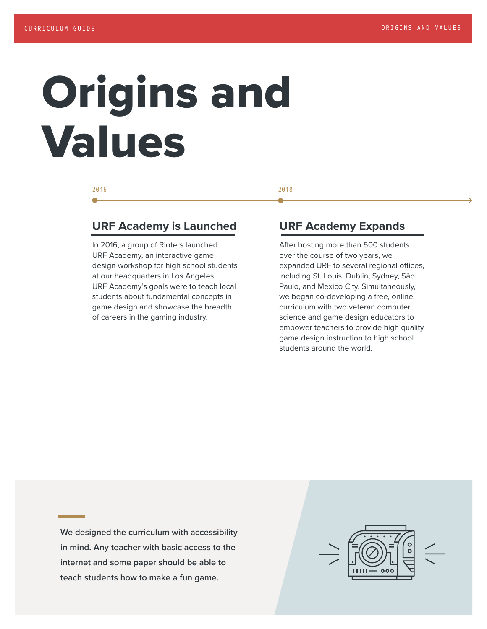### Origins and Values

### **URF Academy is Launched**

In 2016, a group of Rioters launched URF Academy, an interactive game design workshop for high school students at our headquarters in Los Angeles. URF Academy's goals were to teach local students about fundamental concepts in game design and showcase the breadth of careers in the gaming industry.

#### 2016 2018

### **URF Academy Expands**

After hosting more than 500 students over the course of two years, we expanded URF to several regional offices, including St. Louis, Dublin, Sydney, São Paulo, and Mexico City. Simultaneously, we began co-developing a free, online curriculum with two veteran computer science and game design educators to empower teachers to provide high quality game design instruction to high school students around the world.

**We designed the curriculum with accessibility in mind. Any teacher with basic access to the internet and some paper should be able to teach students how to make a fun game.**

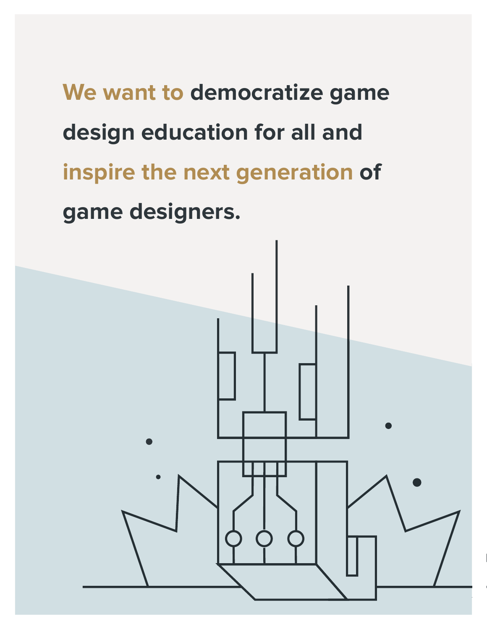**We want to democratize game design education for all and inspire the next generation of game designers.** 

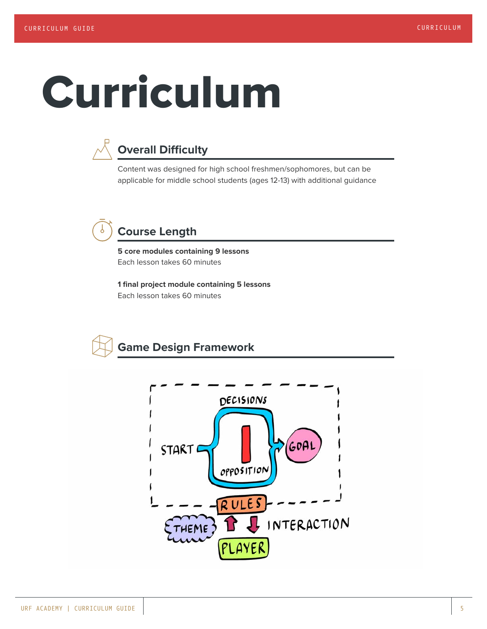### Curriculum



### **Overall Difficulty**

Content was designed for high school freshmen/sophomores, but can be applicable for middle school students (ages 12-13) with additional guidance

### **Course Length**

**5 core modules containing 9 lessons** Each lesson takes 60 minutes

**1 final project module containing 5 lessons** Each lesson takes 60 minutes



### **Game Design Framework**

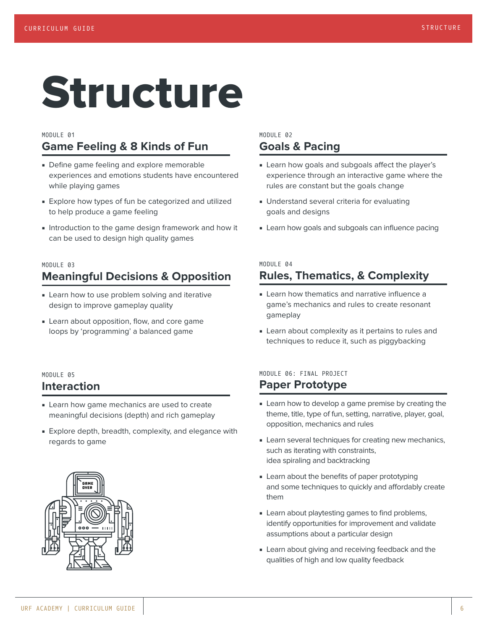### Structure

#### MODULE 01 **Game Feeling & 8 Kinds of Fun**

- Define game feeling and explore memorable experiences and emotions students have encountered while playing games
- Explore how types of fun be categorized and utilized to help produce a game feeling
- Introduction to the game design framework and how it can be used to design high quality games

#### MODULE 03 **Meaningful Decisions & Opposition**

- Learn how to use problem solving and iterative design to improve gameplay quality
- Learn about opposition, flow, and core game loops by 'programming' a balanced game

#### MODULE 05 **Interaction**

- Learn how game mechanics are used to create meaningful decisions (depth) and rich gameplay
- Explore depth, breadth, complexity, and elegance with regards to game



#### MODULE 02 **Goals & Pacing**

- Learn how goals and subgoals affect the player's experience through an interactive game where the rules are constant but the goals change
- Understand several criteria for evaluating goals and designs
- Learn how goals and subgoals can influence pacing

#### MODULE 04 **Rules, Thematics, & Complexity**

- Learn how thematics and narrative influence a game's mechanics and rules to create resonant gameplay
- Learn about complexity as it pertains to rules and techniques to reduce it, such as piggybacking

#### MODULE 06: FINAL PROJECT **Paper Prototype**

- Learn how to develop a game premise by creating the theme, title, type of fun, setting, narrative, player, goal, opposition, mechanics and rules
- Learn several techniques for creating new mechanics, such as iterating with constraints, idea spiraling and backtracking
- Learn about the benefits of paper prototyping and some techniques to quickly and affordably create them
- Learn about playtesting games to find problems, identify opportunities for improvement and validate assumptions about a particular design
- Learn about giving and receiving feedback and the qualities of high and low quality feedback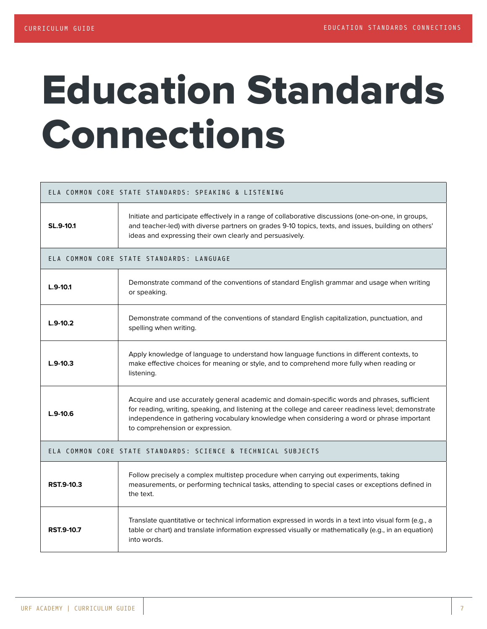### Education Standards Connections

|                                                               | ELA COMMON CORE STATE STANDARDS: SPEAKING & LISTENING                                                                                                                                                                                                                                                                                  |  |  |
|---------------------------------------------------------------|----------------------------------------------------------------------------------------------------------------------------------------------------------------------------------------------------------------------------------------------------------------------------------------------------------------------------------------|--|--|
| SL.9-10.1                                                     | Initiate and participate effectively in a range of collaborative discussions (one-on-one, in groups,<br>and teacher-led) with diverse partners on grades 9-10 topics, texts, and issues, building on others'<br>ideas and expressing their own clearly and persuasively.                                                               |  |  |
|                                                               | ELA COMMON CORE STATE STANDARDS: LANGUAGE                                                                                                                                                                                                                                                                                              |  |  |
| $L.9-10.1$                                                    | Demonstrate command of the conventions of standard English grammar and usage when writing<br>or speaking.                                                                                                                                                                                                                              |  |  |
| $L.9-10.2$                                                    | Demonstrate command of the conventions of standard English capitalization, punctuation, and<br>spelling when writing.                                                                                                                                                                                                                  |  |  |
| $L.9-10.3$                                                    | Apply knowledge of language to understand how language functions in different contexts, to<br>make effective choices for meaning or style, and to comprehend more fully when reading or<br>listening.                                                                                                                                  |  |  |
| $L.9-10.6$                                                    | Acquire and use accurately general academic and domain-specific words and phrases, sufficient<br>for reading, writing, speaking, and listening at the college and career readiness level; demonstrate<br>independence in gathering vocabulary knowledge when considering a word or phrase important<br>to comprehension or expression. |  |  |
| ELA COMMON CORE STATE STANDARDS: SCIENCE & TECHNICAL SUBJECTS |                                                                                                                                                                                                                                                                                                                                        |  |  |
| RST.9-10.3                                                    | Follow precisely a complex multistep procedure when carrying out experiments, taking<br>measurements, or performing technical tasks, attending to special cases or exceptions defined in<br>the text.                                                                                                                                  |  |  |
| <b>RST.9-10.7</b>                                             | Translate quantitative or technical information expressed in words in a text into visual form (e.g., a<br>table or chart) and translate information expressed visually or mathematically (e.g., in an equation)<br>into words.                                                                                                         |  |  |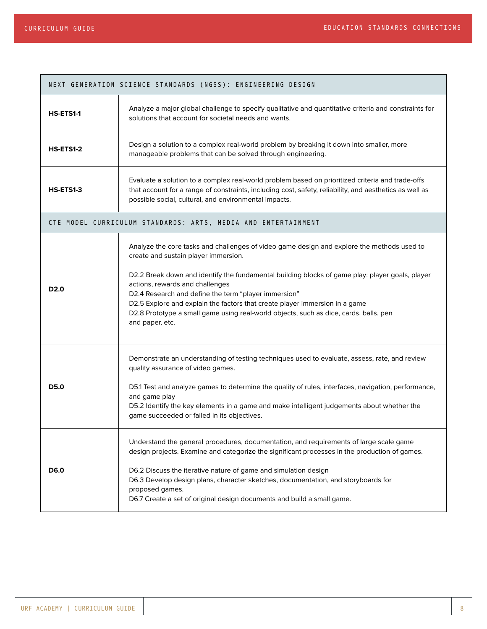┑

 $\Box$ 

|                                                               | NEXT GENERATION SCIENCE STANDARDS (NGSS): ENGINEERING DESIGN                                                                                                                                                                                                                                                                                                                                                                                                                                                                |  |  |
|---------------------------------------------------------------|-----------------------------------------------------------------------------------------------------------------------------------------------------------------------------------------------------------------------------------------------------------------------------------------------------------------------------------------------------------------------------------------------------------------------------------------------------------------------------------------------------------------------------|--|--|
| HS-ETS1-1                                                     | Analyze a major global challenge to specify qualitative and quantitative criteria and constraints for<br>solutions that account for societal needs and wants.                                                                                                                                                                                                                                                                                                                                                               |  |  |
| HS-ETS1-2                                                     | Design a solution to a complex real-world problem by breaking it down into smaller, more<br>manageable problems that can be solved through engineering.                                                                                                                                                                                                                                                                                                                                                                     |  |  |
| HS-ETS1-3                                                     | Evaluate a solution to a complex real-world problem based on prioritized criteria and trade-offs<br>that account for a range of constraints, including cost, safety, reliability, and aesthetics as well as<br>possible social, cultural, and environmental impacts.                                                                                                                                                                                                                                                        |  |  |
| CTE MODEL CURRICULUM STANDARDS: ARTS, MEDIA AND ENTERTAINMENT |                                                                                                                                                                                                                                                                                                                                                                                                                                                                                                                             |  |  |
| D <sub>2.0</sub>                                              | Analyze the core tasks and challenges of video game design and explore the methods used to<br>create and sustain player immersion.<br>D2.2 Break down and identify the fundamental building blocks of game play: player goals, player<br>actions, rewards and challenges<br>D2.4 Research and define the term "player immersion"<br>D2.5 Explore and explain the factors that create player immersion in a game<br>D2.8 Prototype a small game using real-world objects, such as dice, cards, balls, pen<br>and paper, etc. |  |  |
| D5.0                                                          | Demonstrate an understanding of testing techniques used to evaluate, assess, rate, and review<br>quality assurance of video games.<br>D5.1 Test and analyze games to determine the quality of rules, interfaces, navigation, performance,<br>and game play<br>D5.2 Identify the key elements in a game and make intelligent judgements about whether the<br>game succeeded or failed in its objectives.                                                                                                                     |  |  |
| D6.0                                                          | Understand the general procedures, documentation, and requirements of large scale game<br>design projects. Examine and categorize the significant processes in the production of games.<br>D6.2 Discuss the iterative nature of game and simulation design<br>D6.3 Develop design plans, character sketches, documentation, and storyboards for<br>proposed games.<br>D6.7 Create a set of original design documents and build a small game.                                                                                |  |  |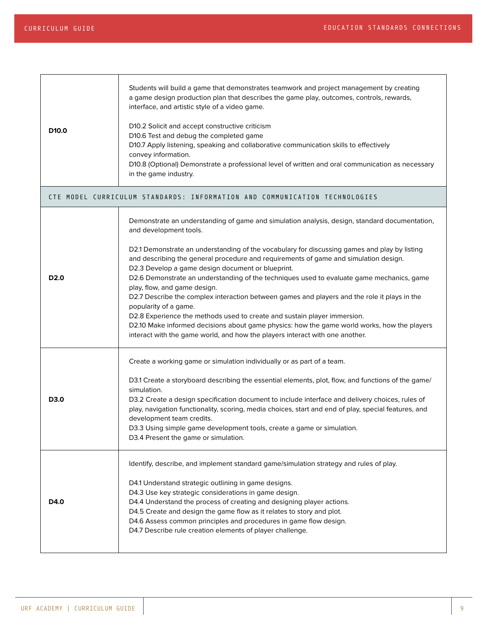| D <sub>10.0</sub> | Students will build a game that demonstrates teamwork and project management by creating<br>a game design production plan that describes the game play, outcomes, controls, rewards,<br>interface, and artistic style of a video game.<br>D10.2 Solicit and accept constructive criticism<br>D10.6 Test and debug the completed game<br>D10.7 Apply listening, speaking and collaborative communication skills to effectively<br>convey information.<br>D10.8 (Optional) Demonstrate a professional level of written and oral communication as necessary<br>in the game industry.                                                                                          |  |  |
|-------------------|----------------------------------------------------------------------------------------------------------------------------------------------------------------------------------------------------------------------------------------------------------------------------------------------------------------------------------------------------------------------------------------------------------------------------------------------------------------------------------------------------------------------------------------------------------------------------------------------------------------------------------------------------------------------------|--|--|
|                   | CTE MODEL CURRICULUM STANDARDS: INFORMATION AND COMMUNICATION TECHNOLOGIES                                                                                                                                                                                                                                                                                                                                                                                                                                                                                                                                                                                                 |  |  |
|                   | Demonstrate an understanding of game and simulation analysis, design, standard documentation,<br>and development tools.                                                                                                                                                                                                                                                                                                                                                                                                                                                                                                                                                    |  |  |
| D <sub>2.0</sub>  | D2.1 Demonstrate an understanding of the vocabulary for discussing games and play by listing<br>and describing the general procedure and requirements of game and simulation design.<br>D2.3 Develop a game design document or blueprint.<br>D2.6 Demonstrate an understanding of the techniques used to evaluate game mechanics, game<br>play, flow, and game design.<br>D2.7 Describe the complex interaction between games and players and the role it plays in the<br>popularity of a game.<br>D2.8 Experience the methods used to create and sustain player immersion.<br>D2.10 Make informed decisions about game physics: how the game world works, how the players |  |  |
|                   | interact with the game world, and how the players interact with one another.                                                                                                                                                                                                                                                                                                                                                                                                                                                                                                                                                                                               |  |  |
|                   | Create a working game or simulation individually or as part of a team.                                                                                                                                                                                                                                                                                                                                                                                                                                                                                                                                                                                                     |  |  |
| D3.0              | D3.1 Create a storyboard describing the essential elements, plot, flow, and functions of the game/<br>simulation.<br>D3.2 Create a design specification document to include interface and delivery choices, rules of<br>play, navigation functionality, scoring, media choices, start and end of play, special features, and<br>development team credits.<br>D3.3 Using simple game development tools, create a game or simulation.<br>D3.4 Present the game or simulation.                                                                                                                                                                                                |  |  |
| D4.0              | Identify, describe, and implement standard game/simulation strategy and rules of play.                                                                                                                                                                                                                                                                                                                                                                                                                                                                                                                                                                                     |  |  |
|                   | D4.1 Understand strategic outlining in game designs.<br>D4.3 Use key strategic considerations in game design.<br>D4.4 Understand the process of creating and designing player actions.<br>D4.5 Create and design the game flow as it relates to story and plot.<br>D4.6 Assess common principles and procedures in game flow design.<br>D4.7 Describe rule creation elements of player challenge.                                                                                                                                                                                                                                                                          |  |  |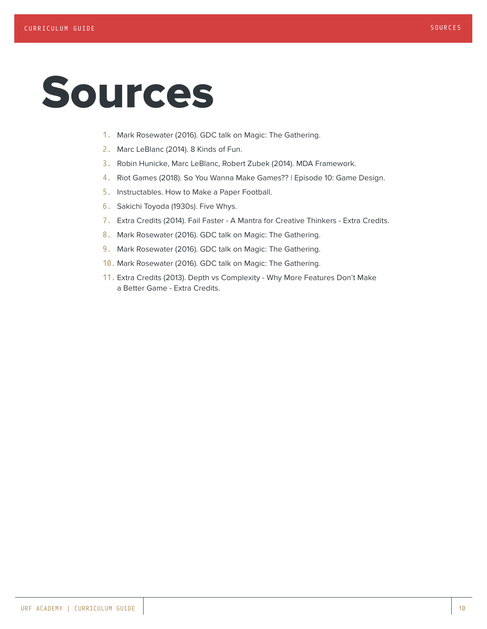### Sources

- 1. Mark Rosewater (2016). GDC talk on Magic: The Gathering.
- 2. Marc LeBlanc (2014). 8 Kinds of Fun.
- 3. Robin Hunicke, Marc LeBlanc, Robert Zubek (2014). MDA Framework.
- 4. Riot Games (2018). So You Wanna Make Games?? | Episode 10: Game Design.
- 5. Instructables. How to Make a Paper Football.
- 6. Sakichi Toyoda (1930s). Five Whys.
- 7. Extra Credits (2014). Fail Faster A Mantra for Creative Thinkers Extra Credits.
- 8. Mark Rosewater (2016). GDC talk on Magic: The Gathering.
- 9. Mark Rosewater (2016). GDC talk on Magic: The Gathering.
- 10. Mark Rosewater (2016). GDC talk on Magic: The Gathering.
- 11. Extra Credits (2013). Depth vs Complexity Why More Features Don't Make a Better Game - Extra Credits.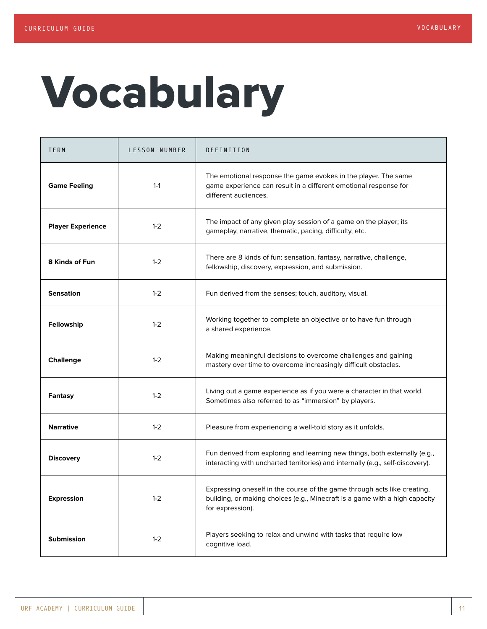## Vocabulary

| TERM                     | LESSON NUMBER | DEFINITION                                                                                                                                                                  |
|--------------------------|---------------|-----------------------------------------------------------------------------------------------------------------------------------------------------------------------------|
| <b>Game Feeling</b>      | $1 - 1$       | The emotional response the game evokes in the player. The same<br>game experience can result in a different emotional response for<br>different audiences.                  |
| <b>Player Experience</b> | $1 - 2$       | The impact of any given play session of a game on the player; its<br>gameplay, narrative, thematic, pacing, difficulty, etc.                                                |
| 8 Kinds of Fun           | $1 - 2$       | There are 8 kinds of fun: sensation, fantasy, narrative, challenge,<br>fellowship, discovery, expression, and submission.                                                   |
| <b>Sensation</b>         | $1 - 2$       | Fun derived from the senses; touch, auditory, visual.                                                                                                                       |
| Fellowship               | $1 - 2$       | Working together to complete an objective or to have fun through<br>a shared experience.                                                                                    |
| <b>Challenge</b>         | $1 - 2$       | Making meaningful decisions to overcome challenges and gaining<br>mastery over time to overcome increasingly difficult obstacles.                                           |
| Fantasy                  | $1 - 2$       | Living out a game experience as if you were a character in that world.<br>Sometimes also referred to as "immersion" by players.                                             |
| <b>Narrative</b>         | $1 - 2$       | Pleasure from experiencing a well-told story as it unfolds.                                                                                                                 |
| <b>Discovery</b>         | $1 - 2$       | Fun derived from exploring and learning new things, both externally (e.g.,<br>interacting with uncharted territories) and internally (e.g., self-discovery).                |
| <b>Expression</b>        | $1 - 2$       | Expressing oneself in the course of the game through acts like creating,<br>building, or making choices (e.g., Minecraft is a game with a high capacity<br>for expression). |
| <b>Submission</b>        | $1 - 2$       | Players seeking to relax and unwind with tasks that require low<br>cognitive load.                                                                                          |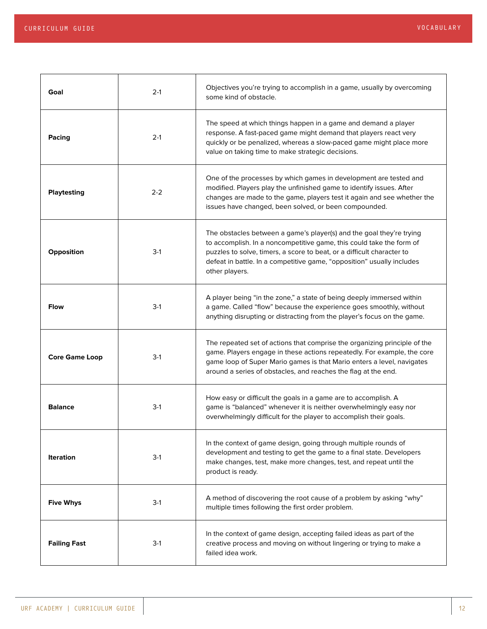| Goal                  | $2-1$   | Objectives you're trying to accomplish in a game, usually by overcoming<br>some kind of obstacle.                                                                                                                                                                                                                  |
|-----------------------|---------|--------------------------------------------------------------------------------------------------------------------------------------------------------------------------------------------------------------------------------------------------------------------------------------------------------------------|
| Pacing                | $2-1$   | The speed at which things happen in a game and demand a player<br>response. A fast-paced game might demand that players react very<br>quickly or be penalized, whereas a slow-paced game might place more<br>value on taking time to make strategic decisions.                                                     |
| <b>Playtesting</b>    | $2 - 2$ | One of the processes by which games in development are tested and<br>modified. Players play the unfinished game to identify issues. After<br>changes are made to the game, players test it again and see whether the<br>issues have changed, been solved, or been compounded.                                      |
| Opposition            | $3-1$   | The obstacles between a game's player(s) and the goal they're trying<br>to accomplish. In a noncompetitive game, this could take the form of<br>puzzles to solve, timers, a score to beat, or a difficult character to<br>defeat in battle. In a competitive game, "opposition" usually includes<br>other players. |
| <b>Flow</b>           | $3-1$   | A player being "in the zone," a state of being deeply immersed within<br>a game. Called "flow" because the experience goes smoothly, without<br>anything disrupting or distracting from the player's focus on the game.                                                                                            |
| <b>Core Game Loop</b> | $3-1$   | The repeated set of actions that comprise the organizing principle of the<br>game. Players engage in these actions repeatedly. For example, the core<br>game loop of Super Mario games is that Mario enters a level, navigates<br>around a series of obstacles, and reaches the flag at the end.                   |
| <b>Balance</b>        | $3-1$   | How easy or difficult the goals in a game are to accomplish. A<br>game is "balanced" whenever it is neither overwhelmingly easy nor<br>overwhelmingly difficult for the player to accomplish their goals.                                                                                                          |
| <b>Iteration</b>      | $3-1$   | In the context of game design, going through multiple rounds of<br>development and testing to get the game to a final state. Developers<br>make changes, test, make more changes, test, and repeat until the<br>product is ready.                                                                                  |
| <b>Five Whys</b>      | $3-1$   | A method of discovering the root cause of a problem by asking "why"<br>multiple times following the first order problem.                                                                                                                                                                                           |
| <b>Failing Fast</b>   | $3-1$   | In the context of game design, accepting failed ideas as part of the<br>creative process and moving on without lingering or trying to make a<br>failed idea work.                                                                                                                                                  |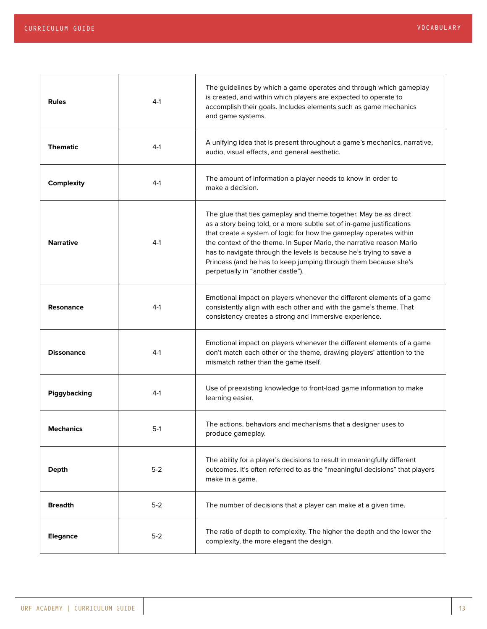| <b>Rules</b>      | $4-1$   | The guidelines by which a game operates and through which gameplay<br>is created, and within which players are expected to operate to<br>accomplish their goals. Includes elements such as game mechanics<br>and game systems.                                                                                                                                                                                                                                         |
|-------------------|---------|------------------------------------------------------------------------------------------------------------------------------------------------------------------------------------------------------------------------------------------------------------------------------------------------------------------------------------------------------------------------------------------------------------------------------------------------------------------------|
| <b>Thematic</b>   | $4-1$   | A unifying idea that is present throughout a game's mechanics, narrative,<br>audio, visual effects, and general aesthetic.                                                                                                                                                                                                                                                                                                                                             |
| <b>Complexity</b> | $4-1$   | The amount of information a player needs to know in order to<br>make a decision.                                                                                                                                                                                                                                                                                                                                                                                       |
| <b>Narrative</b>  | $4-1$   | The glue that ties gameplay and theme together. May be as direct<br>as a story being told, or a more subtle set of in-game justifications<br>that create a system of logic for how the gameplay operates within<br>the context of the theme. In Super Mario, the narrative reason Mario<br>has to navigate through the levels is because he's trying to save a<br>Princess (and he has to keep jumping through them because she's<br>perpetually in "another castle"). |
| <b>Resonance</b>  | $4-1$   | Emotional impact on players whenever the different elements of a game<br>consistently align with each other and with the game's theme. That<br>consistency creates a strong and immersive experience.                                                                                                                                                                                                                                                                  |
| <b>Dissonance</b> | $4-1$   | Emotional impact on players whenever the different elements of a game<br>don't match each other or the theme, drawing players' attention to the<br>mismatch rather than the game itself.                                                                                                                                                                                                                                                                               |
| Piggybacking      | $4-1$   | Use of preexisting knowledge to front-load game information to make<br>learning easier.                                                                                                                                                                                                                                                                                                                                                                                |
| <b>Mechanics</b>  | 5-1     | The actions, behaviors and mechanisms that a designer uses to<br>produce gameplay.                                                                                                                                                                                                                                                                                                                                                                                     |
| <b>Depth</b>      | $5-2$   | The ability for a player's decisions to result in meaningfully different<br>outcomes. It's often referred to as the "meaningful decisions" that players<br>make in a game.                                                                                                                                                                                                                                                                                             |
| <b>Breadth</b>    | $5-2$   | The number of decisions that a player can make at a given time.                                                                                                                                                                                                                                                                                                                                                                                                        |
| <b>Elegance</b>   | $5 - 2$ | The ratio of depth to complexity. The higher the depth and the lower the<br>complexity, the more elegant the design.                                                                                                                                                                                                                                                                                                                                                   |